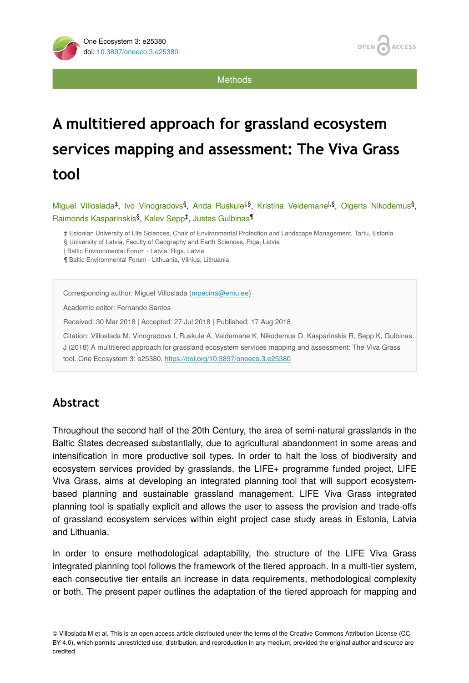**ACCESS** OPEN

**Methods** 

# **A multitiered approach for grassland ecosystem services mapping and assessment: The Viva Grass tool**

Miguel Villoslada<sup>‡</sup>, Ivo Vinogradovs<sup>§</sup>, Anda Ruskule<sup>l,§</sup>, Kristina Veidemane<sup>l,§</sup>, Olgerts Nikodemus<sup>§</sup>, Raimonds Kasparinskis<sup>§</sup>, Kalev Sepp<sup>‡</sup>, Justas Gulbinas<sup>¶</sup>

‡ Estonian University of Life Sciences, Chair of Environmental Protection and Landscape Management, Tartu, Estonia

§ University of Latvia, Faculty of Geography and Earth Sciences, Riga, Latvia

| Baltic Environmental Forum - Latvia, Riga, Latvia

¶ Baltic Environmental Forum - Lithuania, Vilnius, Lithuania

Corresponding author: Miguel Villoslada [\(mpecina@emu.ee\)](mailto:mpecina@emu.ee)

Academic editor: Fernando Santos

Received: 30 Mar 2018 | Accepted: 27 Jul 2018 | Published: 17 Aug 2018

Citation: Villoslada M, Vinogradovs I, Ruskule A, Veidemane K, Nikodemus O, Kasparinskis R, Sepp K, Gulbinas J (2018) A multitiered approach for grassland ecosystem services mapping and assessment: The Viva Grass tool. One Ecosystem 3: e25380.<https://doi.org/10.3897/oneeco.3.e25380>

## **Abstract**

Throughout the second half of the 20th Century, the area of semi-natural grasslands in the Baltic States decreased substantially, due to agricultural abandonment in some areas and intensification in more productive soil types. In order to halt the loss of biodiversity and ecosystem services provided by grasslands, the LIFE+ programme funded project, LIFE Viva Grass, aims at developing an integrated planning tool that will support ecosystembased planning and sustainable grassland management. LIFE Viva Grass integrated planning tool is spatially explicit and allows the user to assess the provision and trade-offs of grassland ecosystem services within eight project case study areas in Estonia, Latvia and Lithuania.

In order to ensure methodological adaptability, the structure of the LIFE Viva Grass integrated planning tool follows the framework of the tiered approach. In a multi-tier system, each consecutive tier entails an increase in data requirements, methodological complexity or both. The present paper outlines the adaptation of the tiered approach for mapping and

© Villoslada M et al. This is an open access article distributed under the terms of the Creative Commons Attribution License (CC BY 4.0), which permits unrestricted use, distribution, and reproduction in any medium, provided the original author and source are credited.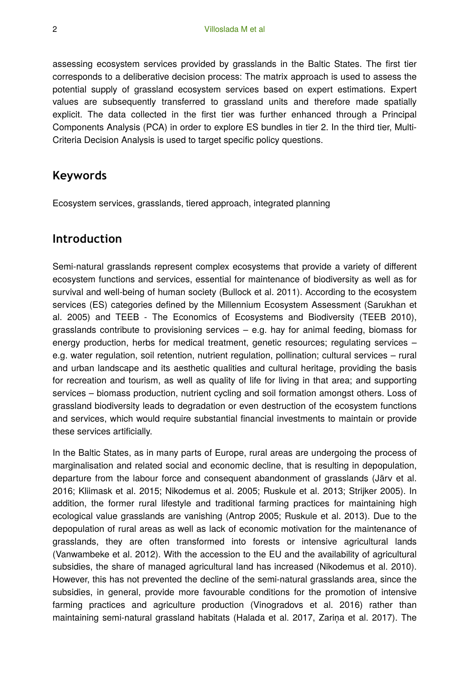assessing ecosystem services provided by grasslands in the Baltic States. The first tier corresponds to a deliberative decision process: The matrix approach is used to assess the potential supply of grassland ecosystem services based on expert estimations. Expert values are subsequently transferred to grassland units and therefore made spatially explicit. The data collected in the first tier was further enhanced through a Principal Components Analysis (PCA) in order to explore ES bundles in tier 2. In the third tier, Multi-Criteria Decision Analysis is used to target specific policy questions.

## **Keywords**

Ecosystem services, grasslands, tiered approach, integrated planning

## **Introduction**

Semi-natural grasslands represent complex ecosystems that provide a variety of different ecosystem functions and services, essential for maintenance of biodiversity as well as for survival and well-being of human society (Bullock et al. 2011). According to the ecosystem services (ES) categories defined by the Millennium Ecosystem Assessment (Sarukhan et al. 2005) and TEEB - The Economics of Ecosystems and Biodiversity (TEEB 2010), grasslands contribute to provisioning services – e.g. hay for animal feeding, biomass for energy production, herbs for medical treatment, genetic resources; regulating services – e.g. water regulation, soil retention, nutrient regulation, pollination; cultural services – rural and urban landscape and its aesthetic qualities and cultural heritage, providing the basis for recreation and tourism, as well as quality of life for living in that area; and supporting services – biomass production, nutrient cycling and soil formation amongst others. Loss of grassland biodiversity leads to degradation or even destruction of the ecosystem functions and services, which would require substantial financial investments to maintain or provide these services artificially.

In the Baltic States, as in many parts of Europe, rural areas are undergoing the process of marginalisation and related social and economic decline, that is resulting in depopulation, departure from the labour force and consequent abandonment of grasslands (Järv et al. 2016; Kliimask et al. 2015; Nikodemus et al. 2005; Ruskule et al. 2013; Strijker 2005). In addition, the former rural lifestyle and traditional farming practices for maintaining high ecological value grasslands are vanishing (Antrop 2005; Ruskule et al. 2013). Due to the depopulation of rural areas as well as lack of economic motivation for the maintenance of grasslands, they are often transformed into forests or intensive agricultural lands (Vanwambeke et al. 2012). With the accession to the EU and the availability of agricultural subsidies, the share of managed agricultural land has increased (Nikodemus et al. 2010). However, this has not prevented the decline of the semi-natural grasslands area, since the subsidies, in general, provide more favourable conditions for the promotion of intensive farming practices and agriculture production (Vinogradovs et al. 2016) rather than maintaining semi-natural grassland habitats (Halada et al. 2017, Zariņa et al. 2017). The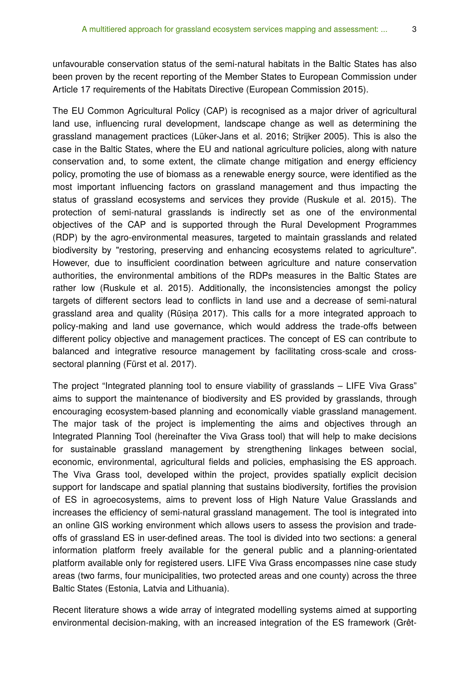unfavourable conservation status of the semi-natural habitats in the Baltic States has also been proven by the recent reporting of the Member States to European Commission under Article 17 requirements of the Habitats Directive (European Commission 2015).

The EU Common Agricultural Policy (CAP) is recognised as a major driver of agricultural land use, influencing rural development, landscape change as well as determining the grassland management practices (Lüker-Jans et al. 2016; Strijker 2005). This is also the case in the Baltic States, where the EU and national agriculture policies, along with nature conservation and, to some extent, the climate change mitigation and energy efficiency policy, promoting the use of biomass as a renewable energy source, were identified as the most important influencing factors on grassland management and thus impacting the status of grassland ecosystems and services they provide (Ruskule et al. 2015). The protection of semi-natural grasslands is indirectly set as one of the environmental objectives of the CAP and is supported through the Rural Development Programmes (RDP) by the agro-environmental measures, targeted to maintain grasslands and related biodiversity by "restoring, preserving and enhancing ecosystems related to agriculture". However, due to insufficient coordination between agriculture and nature conservation authorities, the environmental ambitions of the RDPs measures in the Baltic States are rather low (Ruskule et al. 2015). Additionally, the inconsistencies amongst the policy targets of different sectors lead to conflicts in land use and a decrease of semi-natural grassland area and quality (Rūsiņa 2017). This calls for a more integrated approach to policy-making and land use governance, which would address the trade-offs between different policy objective and management practices. The concept of ES can contribute to balanced and integrative resource management by facilitating cross-scale and crosssectoral planning (Fürst et al. 2017).

The project "Integrated planning tool to ensure viability of grasslands – LIFE Viva Grass" aims to support the maintenance of biodiversity and ES provided by grasslands, through encouraging ecosystem-based planning and economically viable grassland management. The major task of the project is implementing the aims and objectives through an Integrated Planning Tool (hereinafter the Viva Grass tool) that will help to make decisions for sustainable grassland management by strengthening linkages between social, economic, environmental, agricultural fields and policies, emphasising the ES approach. The Viva Grass tool, developed within the project, provides spatially explicit decision support for landscape and spatial planning that sustains biodiversity, fortifies the provision of ES in agroecosystems, aims to prevent loss of High Nature Value Grasslands and increases the efficiency of semi-natural grassland management. The tool is integrated into an online GIS working environment which allows users to assess the provision and tradeoffs of grassland ES in user-defined areas. The tool is divided into two sections: a general information platform freely available for the general public and a planning-orientated platform available only for registered users. LIFE Viva Grass encompasses nine case study areas (two farms, four municipalities, two protected areas and one county) across the three Baltic States (Estonia, Latvia and Lithuania).

Recent literature shows a wide array of integrated modelling systems aimed at supporting environmental decision-making, with an increased integration of the ES framework (Grêt-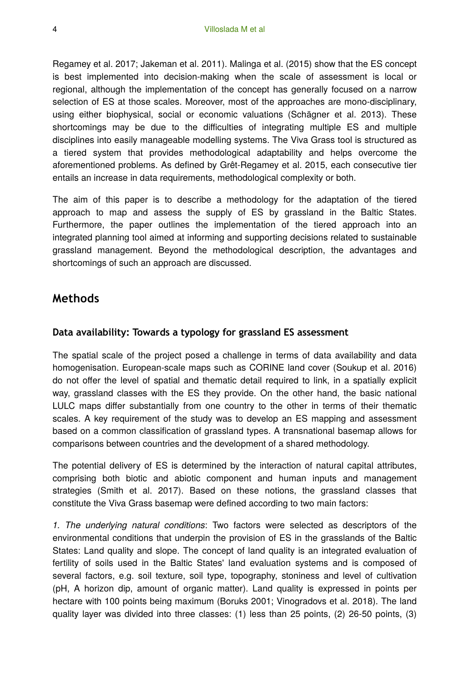Regamey et al. 2017; Jakeman et al. 2011). Malinga et al. (2015) show that the ES concept is best implemented into decision-making when the scale of assessment is local or regional, although the implementation of the concept has generally focused on a narrow selection of ES at those scales. Moreover, most of the approaches are mono-disciplinary, using either biophysical, social or economic valuations (Schägner et al. 2013). These shortcomings may be due to the difficulties of integrating multiple ES and multiple disciplines into easily manageable modelling systems. The Viva Grass tool is structured as a tiered system that provides methodological adaptability and helps overcome the aforementioned problems. As defined by Grêt-Regamey et al. 2015, each consecutive tier entails an increase in data requirements, methodological complexity or both.

The aim of this paper is to describe a methodology for the adaptation of the tiered approach to map and assess the supply of ES by grassland in the Baltic States. Furthermore, the paper outlines the implementation of the tiered approach into an integrated planning tool aimed at informing and supporting decisions related to sustainable grassland management. Beyond the methodological description, the advantages and shortcomings of such an approach are discussed.

## **Methods**

#### **Data availability: Towards a typology for grassland ES assessment**

The spatial scale of the project posed a challenge in terms of data availability and data homogenisation. European-scale maps such as CORINE land cover (Soukup et al. 2016) do not offer the level of spatial and thematic detail required to link, in a spatially explicit way, grassland classes with the ES they provide. On the other hand, the basic national LULC maps differ substantially from one country to the other in terms of their thematic scales. A key requirement of the study was to develop an ES mapping and assessment based on a common classification of grassland types. A transnational basemap allows for comparisons between countries and the development of a shared methodology.

The potential delivery of ES is determined by the interaction of natural capital attributes, comprising both biotic and abiotic component and human inputs and management strategies (Smith et al. 2017). Based on these notions, the grassland classes that constitute the Viva Grass basemap were defined according to two main factors:

*1. The underlying natural conditions*: Two factors were selected as descriptors of the environmental conditions that underpin the provision of ES in the grasslands of the Baltic States: Land quality and slope. The concept of land quality is an integrated evaluation of fertility of soils used in the Baltic States' land evaluation systems and is composed of several factors, e.g. soil texture, soil type, topography, stoniness and level of cultivation (pH, A horizon dip, amount of organic matter). Land quality is expressed in points per hectare with 100 points being maximum (Boruks 2001; Vinogradovs et al. 2018). The land quality layer was divided into three classes: (1) less than 25 points, (2) 26-50 points, (3)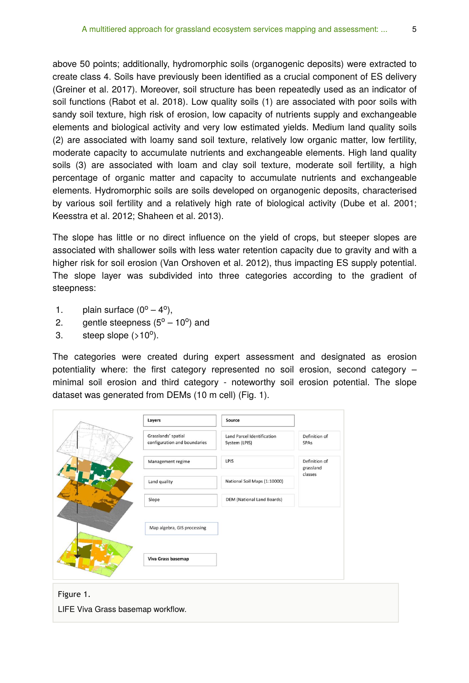above 50 points; additionally, hydromorphic soils (organogenic deposits) were extracted to create class 4. Soils have previously been identified as a crucial component of ES delivery (Greiner et al. 2017). Moreover, soil structure has been repeatedly used as an indicator of soil functions (Rabot et al. 2018). Low quality soils (1) are associated with poor soils with sandy soil texture, high risk of erosion, low capacity of nutrients supply and exchangeable elements and biological activity and very low estimated yields. Medium land quality soils (2) are associated with loamy sand soil texture, relatively low organic matter, low fertility, moderate capacity to accumulate nutrients and exchangeable elements. High land quality soils (3) are associated with loam and clay soil texture, moderate soil fertility, a high percentage of organic matter and capacity to accumulate nutrients and exchangeable elements. Hydromorphic soils are soils developed on organogenic deposits, characterised by various soil fertility and a relatively high rate of biological activity (Dube et al. 2001; Keesstra et al. 2012; Shaheen et al. 2013).

The slope has little or no direct influence on the yield of crops, but steeper slopes are associated with shallower soils with less water retention capacity due to gravity and with a higher risk for soil erosion (Van Orshoven et al. 2012), thus impacting ES supply potential. The slope layer was subdivided into three categories according to the gradient of steepness:

- 1. plain surface  $(0^{\circ} 4^{\circ})$ ,
- 2. gentle steepness  $(5^{\circ} 10^{\circ})$  and
- 3. steep slope  $($ >10 $^{\circ}$ ).

The categories were created during expert assessment and designated as erosion potentiality where: the first category represented no soil erosion, second category – minimal soil erosion and third category - noteworthy soil erosion potential. The slope dataset was generated from DEMs (10 m cell) (Fig. 1).

| Layers                                              | Source                                      |                            |  |
|-----------------------------------------------------|---------------------------------------------|----------------------------|--|
| Grasslands' spatial<br>configuration and boundaries | Land Parcel Identification<br>System (LPIS) | Definition of<br>SPAs      |  |
| Management regime                                   | LPIS                                        | Definition of<br>grassland |  |
| Land quality                                        | National Soil Maps (1:10000)                | classes                    |  |
| Slope                                               | <b>DEM</b> (National Land Boards)           |                            |  |
| Map algebra, GIS processing                         |                                             |                            |  |
| Viva Grass basemap                                  |                                             |                            |  |
|                                                     |                                             |                            |  |

## Figure 1.

LIFE Viva Grass basemap workflow.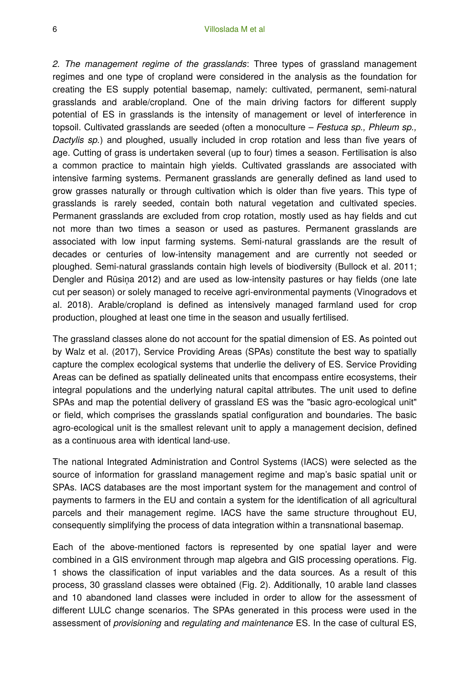*2. The management regime of the grasslands*: Three types of grassland management regimes and one type of cropland were considered in the analysis as the foundation for creating the ES supply potential basemap, namely: cultivated, permanent, semi-natural grasslands and arable/cropland. One of the main driving factors for different supply potential of ES in grasslands is the intensity of management or level of interference in topsoil. Cultivated grasslands are seeded (often a monoculture – *Festuca sp., Phleum sp., Dactylis sp.*) and ploughed, usually included in crop rotation and less than five years of age. Cutting of grass is undertaken several (up to four) times a season. Fertilisation is also a common practice to maintain high yields. Cultivated grasslands are associated with intensive farming systems. Permanent grasslands are generally defined as land used to grow grasses naturally or through cultivation which is older than five years. This type of grasslands is rarely seeded, contain both natural vegetation and cultivated species. Permanent grasslands are excluded from crop rotation, mostly used as hay fields and cut not more than two times a season or used as pastures. Permanent grasslands are associated with low input farming systems. Semi-natural grasslands are the result of decades or centuries of low-intensity management and are currently not seeded or ploughed. Semi-natural grasslands contain high levels of biodiversity (Bullock et al. 2011; Dengler and Rūsina 2012) and are used as low-intensity pastures or hay fields (one late cut per season) or solely managed to receive agri-environmental payments (Vinogradovs et al. 2018). Arable/cropland is defined as intensively managed farmland used for crop production, ploughed at least one time in the season and usually fertilised.

The grassland classes alone do not account for the spatial dimension of ES. As pointed out by Walz et al. (2017), Service Providing Areas (SPAs) constitute the best way to spatially capture the complex ecological systems that underlie the delivery of ES. Service Providing Areas can be defined as spatially delineated units that encompass entire ecosystems, their integral populations and the underlying natural capital attributes. The unit used to define SPAs and map the potential delivery of grassland ES was the "basic agro-ecological unit" or field, which comprises the grasslands spatial configuration and boundaries. The basic agro-ecological unit is the smallest relevant unit to apply a management decision, defined as a continuous area with identical land-use.

The national Integrated Administration and Control Systems (IACS) were selected as the source of information for grassland management regime and map's basic spatial unit or SPAs. IACS databases are the most important system for the management and control of payments to farmers in the EU and contain a system for the identification of all agricultural parcels and their management regime. IACS have the same structure throughout EU, consequently simplifying the process of data integration within a transnational basemap.

Each of the above-mentioned factors is represented by one spatial layer and were combined in a GIS environment through map algebra and GIS processing operations. Fig. 1 shows the classification of input variables and the data sources. As a result of this process, 30 grassland classes were obtained (Fig. 2). Additionally, 10 arable land classes and 10 abandoned land classes were included in order to allow for the assessment of different LULC change scenarios. The SPAs generated in this process were used in the assessment of *provisioning* and *regulating and maintenance* ES. In the case of cultural ES,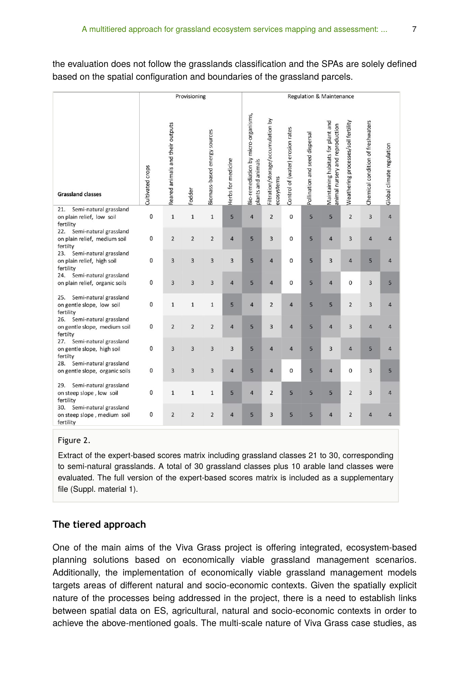the evaluation does not follow the grasslands classification and the SPAs are solely defined based on the spatial configuration and boundaries of the grassland parcels.

|                                                                                        | Provisioning     |                                  |                         | <b>Regulation &amp; Maintenance</b> |                         |                                                           |                                                  |                                  |                                |                                                                       |                                     |                                   |                           |
|----------------------------------------------------------------------------------------|------------------|----------------------------------|-------------------------|-------------------------------------|-------------------------|-----------------------------------------------------------|--------------------------------------------------|----------------------------------|--------------------------------|-----------------------------------------------------------------------|-------------------------------------|-----------------------------------|---------------------------|
| <b>Grassland classes</b>                                                               | Cultivated crops | Reared animals and their outputs | Fodder                  | Biomass-based energy sources        | Herbs for medicine      | Bio-remediation by micro-organisms,<br>plants and animals | Filtration/storage/accumulation by<br>ecosystems | Control of (water) erosion rates | Pollination and seed dispersal | Maintaining habitats for plant and<br>animal nursery and reproduction | Weathering processes/soil fertility | Chemical condition of freshwaters | Global climate regulation |
| Semi-natural grassland<br>21.<br>on plain relief, low soil                             | 0                | $\mathbf 1$                      | $\mathbf 1$             | $\mathbf 1$                         | 5                       | $\overline{4}$                                            | $\overline{2}$                                   | $\mathbf 0$                      | 5                              | 5                                                                     | $\overline{2}$                      | 3                                 | $\overline{4}$            |
| fertility<br>22.<br>Semi-natural grassland<br>on plain relief, medium soil<br>fertilty | 0                | $\overline{2}$                   | $\overline{2}$          | $\overline{2}$                      | $\overline{4}$          | 5                                                         | $\overline{3}$                                   | $\mathbf{0}$                     | 5                              | $\overline{4}$                                                        | 3                                   | $\overline{4}$                    | $\overline{4}$            |
| Semi-natural grassland<br>23.<br>on plain relief, high soil<br>fertility               | 0                | 3                                | $\overline{\mathbf{3}}$ | $\overline{\mathbf{3}}$             | $\overline{\mathbf{3}}$ | 5                                                         | $\overline{4}$                                   | $\mathbf 0$                      | 5                              | 3                                                                     | 4                                   | 5                                 | $\overline{4}$            |
| Semi-natural grassland<br>24.<br>on plain relief, organic soils                        | 0                | 3                                | 3                       | 3                                   | $\overline{4}$          | 5                                                         | $\overline{4}$                                   | $\mathbf 0$                      | 5                              | $\overline{4}$                                                        | 0                                   | 3                                 | 5                         |
| Semi-natural grassland<br>25.<br>on gentle slope, low soil<br>fertility                | 0                | $\mathbf{1}$                     | $\mathbf 1$             | $\mathbf 1$                         | 5                       | $\overline{4}$                                            | $\overline{2}$                                   | $\overline{4}$                   | 5                              | 5                                                                     | $\overline{2}$                      | 3                                 | $\overline{4}$            |
| 26.<br>Semi-natural grassland<br>on gentle slope, medium soil<br>fertilty              | 0                | $\overline{2}$                   | $\overline{2}$          | $\overline{2}$                      | $\overline{4}$          | 5                                                         | 3                                                | $\overline{4}$                   | 5                              | $\overline{4}$                                                        | 3                                   | $\overline{4}$                    | $\overline{4}$            |
| Semi-natural grassland<br>27.<br>on gentle slope, high soil<br>fertilty                | 0                | $\overline{\mathbf{3}}$          | 3                       | 3                                   | $\overline{\mathbf{3}}$ | 5                                                         | $\overline{4}$                                   | 4                                | 5                              | $\overline{3}$                                                        | 4                                   | 5                                 | $\overline{4}$            |
| Semi-natural grassland<br>28.<br>on gentle slope, organic soils                        | 0                | 3                                | 3                       | 3                                   | $\overline{4}$          | 5                                                         | $\overline{4}$                                   | $\mathbf 0$                      | 5                              | 4                                                                     | 0                                   | $\overline{\mathbf{3}}$           | 5                         |
| Semi-natural grassland<br>29.<br>on steep slope, low soil<br>fertility                 | 0                | $\mathbf{1}$                     | $\mathbf{1}$            | $\mathbf 1$                         | 5                       | $\overline{4}$                                            | $\overline{2}$                                   | 5                                | 5                              | 5                                                                     | $\overline{2}$                      | $\overline{\mathbf{3}}$           | $\overline{4}$            |
| Semi-natural grassland<br>30.<br>on steep slope, medium soil<br>fertility              | 0                | $\overline{2}$                   | $\overline{2}$          | $\overline{2}$                      | $\overline{4}$          | 5                                                         | 3                                                | 5                                | 5                              | $\overline{4}$                                                        | $\overline{2}$                      | $\overline{4}$                    | $\overline{4}$            |

#### Figure 2.

Extract of the expert-based scores matrix including grassland classes 21 to 30, corresponding to semi-natural grasslands. A total of 30 grassland classes plus 10 arable land classes were evaluated. The full version of the expert-based scores matrix is included as a supplementary file (Suppl. material 1).

#### **The tiered approach**

One of the main aims of the Viva Grass project is offering integrated, ecosystem-based planning solutions based on economically viable grassland management scenarios. Additionally, the implementation of economically viable grassland management models targets areas of different natural and socio-economic contexts. Given the spatially explicit nature of the processes being addressed in the project, there is a need to establish links between spatial data on ES, agricultural, natural and socio-economic contexts in order to achieve the above-mentioned goals. The multi-scale nature of Viva Grass case studies, as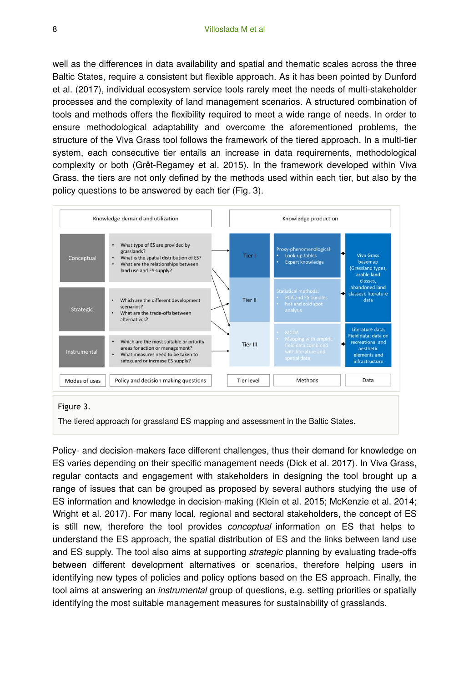well as the differences in data availability and spatial and thematic scales across the three Baltic States, require a consistent but flexible approach. As it has been pointed by Dunford et al. (2017), individual ecosystem service tools rarely meet the needs of multi-stakeholder processes and the complexity of land management scenarios. A structured combination of tools and methods offers the flexibility required to meet a wide range of needs. In order to ensure methodological adaptability and overcome the aforementioned problems, the structure of the Viva Grass tool follows the framework of the tiered approach. In a multi-tier system, each consecutive tier entails an increase in data requirements, methodological complexity or both (Grêt-Regamey et al. 2015). In the framework developed within Viva Grass, the tiers are not only defined by the methods used within each tier, but also by the policy questions to be answered by each tier (Fig. 3).



The tiered approach for grassland ES mapping and assessment in the Baltic States.

Policy- and decision-makers face different challenges, thus their demand for knowledge on ES varies depending on their specific management needs (Dick et al. 2017). In Viva Grass, regular contacts and engagement with stakeholders in designing the tool brought up a range of issues that can be grouped as proposed by several authors studying the use of ES information and knowledge in decision-making (Klein et al. 2015; McKenzie et al. 2014; Wright et al. 2017). For many local, regional and sectoral stakeholders, the concept of ES is still new, therefore the tool provides *conceptual* information on ES that helps to understand the ES approach, the spatial distribution of ES and the links between land use and ES supply. The tool also aims at supporting *strategic* planning by evaluating trade-offs between different development alternatives or scenarios, therefore helping users in identifying new types of policies and policy options based on the ES approach. Finally, the tool aims at answering an *instrumental* group of questions, e.g. setting priorities or spatially identifying the most suitable management measures for sustainability of grasslands.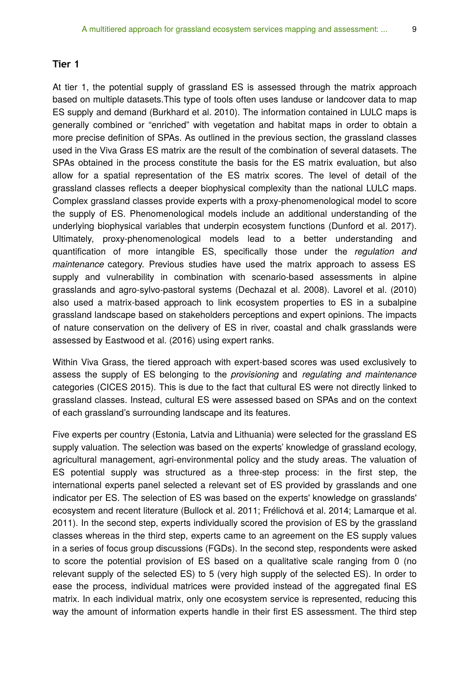#### **Tier 1**

At tier 1, the potential supply of grassland ES is assessed through the matrix approach based on multiple datasets.This type of tools often uses landuse or landcover data to map ES supply and demand (Burkhard et al. 2010). The information contained in LULC maps is generally combined or "enriched" with vegetation and habitat maps in order to obtain a more precise definition of SPAs. As outlined in the previous section, the grassland classes used in the Viva Grass ES matrix are the result of the combination of several datasets. The SPAs obtained in the process constitute the basis for the ES matrix evaluation, but also allow for a spatial representation of the ES matrix scores. The level of detail of the grassland classes reflects a deeper biophysical complexity than the national LULC maps. Complex grassland classes provide experts with a proxy-phenomenological model to score the supply of ES. Phenomenological models include an additional understanding of the underlying biophysical variables that underpin ecosystem functions (Dunford et al. 2017). Ultimately, proxy-phenomenological models lead to a better understanding and quantification of more intangible ES, specifically those under the *regulation and maintenance* category. Previous studies have used the matrix approach to assess ES supply and vulnerability in combination with scenario-based assessments in alpine grasslands and agro-sylvo-pastoral systems (Dechazal et al. 2008). Lavorel et al. (2010) also used a matrix-based approach to link ecosystem properties to ES in a subalpine grassland landscape based on stakeholders perceptions and expert opinions. The impacts of nature conservation on the delivery of ES in river, coastal and chalk grasslands were assessed by Eastwood et al. (2016) using expert ranks.

Within Viva Grass, the tiered approach with expert-based scores was used exclusively to assess the supply of ES belonging to the *provisioning* and *regulating and maintenance* categories (CICES 2015). This is due to the fact that cultural ES were not directly linked to grassland classes. Instead, cultural ES were assessed based on SPAs and on the context of each grassland's surrounding landscape and its features.

Five experts per country (Estonia, Latvia and Lithuania) were selected for the grassland ES supply valuation. The selection was based on the experts' knowledge of grassland ecology, agricultural management, agri-environmental policy and the study areas. The valuation of ES potential supply was structured as a three-step process: in the first step, the international experts panel selected a relevant set of ES provided by grasslands and one indicator per ES. The selection of ES was based on the experts' knowledge on grasslands' ecosystem and recent literature (Bullock et al. 2011; Frélichová et al. 2014; Lamarque et al. 2011). In the second step, experts individually scored the provision of ES by the grassland classes whereas in the third step, experts came to an agreement on the ES supply values in a series of focus group discussions (FGDs). In the second step, respondents were asked to score the potential provision of ES based on a qualitative scale ranging from 0 (no relevant supply of the selected ES) to 5 (very high supply of the selected ES). In order to ease the process, individual matrices were provided instead of the aggregated final ES matrix. In each individual matrix, only one ecosystem service is represented, reducing this way the amount of information experts handle in their first ES assessment. The third step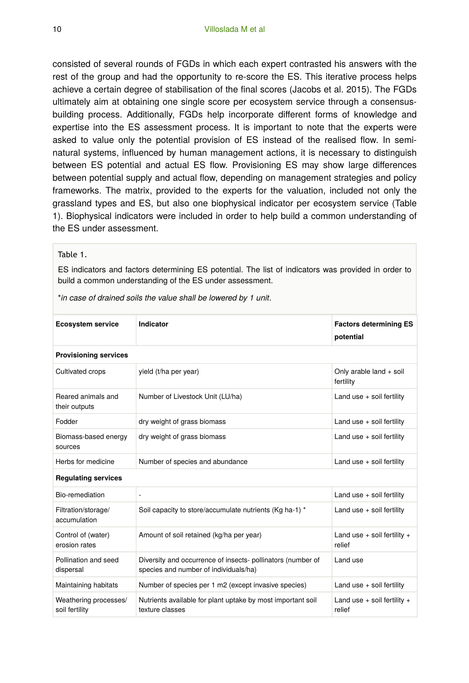consisted of several rounds of FGDs in which each expert contrasted his answers with the rest of the group and had the opportunity to re-score the ES. This iterative process helps achieve a certain degree of stabilisation of the final scores (Jacobs et al. 2015). The FGDs ultimately aim at obtaining one single score per ecosystem service through a consensusbuilding process. Additionally, FGDs help incorporate different forms of knowledge and expertise into the ES assessment process. It is important to note that the experts were asked to value only the potential provision of ES instead of the realised flow. In seminatural systems, influenced by human management actions, it is necessary to distinguish between ES potential and actual ES flow. Provisioning ES may show large differences between potential supply and actual flow, depending on management strategies and policy frameworks. The matrix, provided to the experts for the valuation, included not only the grassland types and ES, but also one biophysical indicator per ecosystem service (Table 1). Biophysical indicators were included in order to help build a common understanding of the ES under assessment.

#### Table 1.

ES indicators and factors determining ES potential. The list of indicators was provided in order to build a common understanding of the ES under assessment.

| <b>Ecosystem service</b>                | Indicator                                                                                           | <b>Factors determining ES</b><br>potential |  |  |  |  |  |
|-----------------------------------------|-----------------------------------------------------------------------------------------------------|--------------------------------------------|--|--|--|--|--|
| <b>Provisioning services</b>            |                                                                                                     |                                            |  |  |  |  |  |
| Cultivated crops                        | yield (t/ha per year)                                                                               | Only arable land + soil<br>fertility       |  |  |  |  |  |
| Reared animals and<br>their outputs     | Number of Livestock Unit (LU/ha)                                                                    | Land use + soil fertility                  |  |  |  |  |  |
| Fodder                                  | dry weight of grass biomass                                                                         | Land use $+$ soil fertility                |  |  |  |  |  |
| Biomass-based energy<br>sources         | dry weight of grass biomass                                                                         | Land use $+$ soil fertility                |  |  |  |  |  |
| Herbs for medicine                      | Number of species and abundance                                                                     | Land use $+$ soil fertility                |  |  |  |  |  |
| <b>Requlating services</b>              |                                                                                                     |                                            |  |  |  |  |  |
| <b>Bio-remediation</b>                  | $\blacksquare$                                                                                      | Land use $+$ soil fertility                |  |  |  |  |  |
| Filtration/storage/<br>accumulation     | Soil capacity to store/accumulate nutrients (Kg ha-1) *                                             | Land use + soil fertility                  |  |  |  |  |  |
| Control of (water)<br>erosion rates     | Amount of soil retained (kg/ha per year)                                                            | Land use $+$ soil fertility $+$<br>relief  |  |  |  |  |  |
| Pollination and seed<br>dispersal       | Diversity and occurrence of insects-pollinators (number of<br>species and number of individuals/ha) | Land use                                   |  |  |  |  |  |
| Maintaining habitats                    | Number of species per 1 m2 (except invasive species)                                                | Land use + soil fertility                  |  |  |  |  |  |
| Weathering processes/<br>soil fertility | Nutrients available for plant uptake by most important soil<br>texture classes                      | Land use $+$ soil fertility $+$<br>relief  |  |  |  |  |  |

\**in case of drained soils the value shall be lowered by 1 unit*.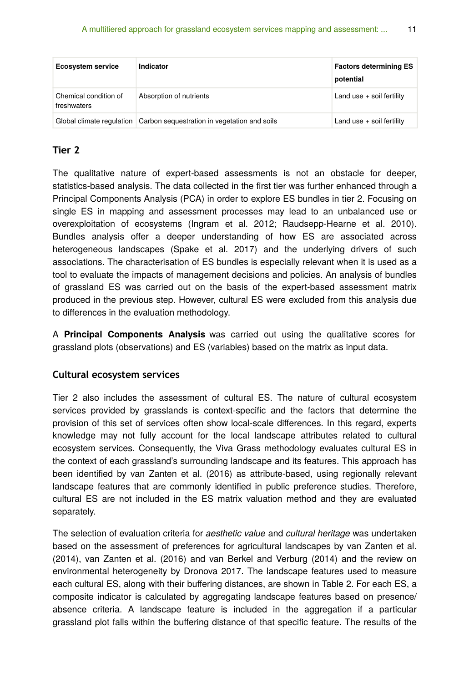| <b>Ecosystem service</b>             | Indicator                                                                | <b>Factors determining ES</b><br>potential |
|--------------------------------------|--------------------------------------------------------------------------|--------------------------------------------|
| Chemical condition of<br>freshwaters | Absorption of nutrients                                                  | Land use $+$ soil fertility                |
|                                      | Global climate regulation   Carbon sequestration in vegetation and soils | Land use $+$ soil fertility                |

#### **Tier 2**

The qualitative nature of expert-based assessments is not an obstacle for deeper, statistics-based analysis. The data collected in the first tier was further enhanced through a Principal Components Analysis (PCA) in order to explore ES bundles in tier 2. Focusing on single ES in mapping and assessment processes may lead to an unbalanced use or overexploitation of ecosystems (Ingram et al. 2012; Raudsepp-Hearne et al. 2010). Bundles analysis offer a deeper understanding of how ES are associated across heterogeneous landscapes (Spake et al. 2017) and the underlying drivers of such associations. The characterisation of ES bundles is especially relevant when it is used as a tool to evaluate the impacts of management decisions and policies. An analysis of bundles of grassland ES was carried out on the basis of the expert-based assessment matrix produced in the previous step. However, cultural ES were excluded from this analysis due to differences in the evaluation methodology.

A **Principal Components Analysis** was carried out using the qualitative scores for grassland plots (observations) and ES (variables) based on the matrix as input data.

#### **Cultural ecosystem services**

Tier 2 also includes the assessment of cultural ES. The nature of cultural ecosystem services provided by grasslands is context-specific and the factors that determine the provision of this set of services often show local-scale differences. In this regard, experts knowledge may not fully account for the local landscape attributes related to cultural ecosystem services. Consequently, the Viva Grass methodology evaluates cultural ES in the context of each grassland's surrounding landscape and its features. This approach has been identified by van Zanten et al. (2016) as attribute-based, using regionally relevant landscape features that are commonly identified in public preference studies. Therefore, cultural ES are not included in the ES matrix valuation method and they are evaluated separately.

The selection of evaluation criteria for *aesthetic value* and *cultural heritage* was undertaken based on the assessment of preferences for agricultural landscapes by van Zanten et al. (2014), van Zanten et al. (2016) and van Berkel and Verburg (2014) and the review on environmental heterogeneity by Dronova 2017. The landscape features used to measure each cultural ES, along with their buffering distances, are shown in Table 2. For each ES, a composite indicator is calculated by aggregating landscape features based on presence/ absence criteria. A landscape feature is included in the aggregation if a particular grassland plot falls within the buffering distance of that specific feature. The results of the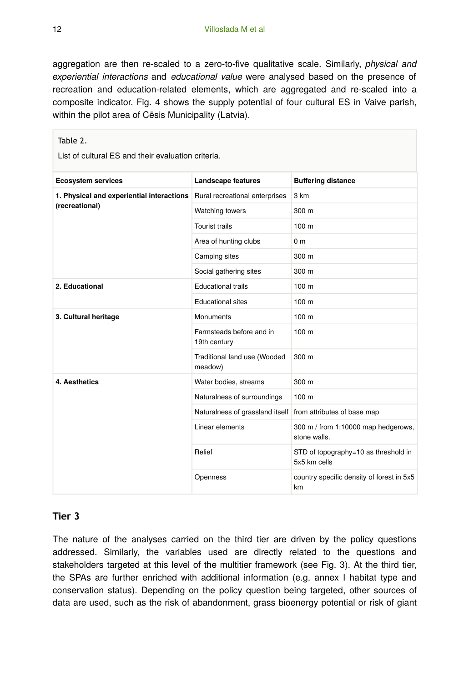aggregation are then re-scaled to a zero-to-five qualitative scale. Similarly, *physical and experiential interactions* and *educational value* were analysed based on the presence of recreation and education-related elements, which are aggregated and re-scaled into a composite indicator. Fig. 4 shows the supply potential of four cultural ES in Vaive parish, within the pilot area of Cēsis Municipality (Latvia).

#### Table 2.

List of cultural ES and their evaluation criteria.

| <b>Ecosystem services</b>                                   | <b>Landscape features</b>                | <b>Buffering distance</b>                            |  |  |  |
|-------------------------------------------------------------|------------------------------------------|------------------------------------------------------|--|--|--|
| 1. Physical and experiential interactions<br>(recreational) | Rural recreational enterprises           | 3 km                                                 |  |  |  |
|                                                             | Watching towers                          | 300 m                                                |  |  |  |
|                                                             | <b>Tourist trails</b>                    | 100 <sub>m</sub>                                     |  |  |  |
|                                                             | Area of hunting clubs                    | 0 <sub>m</sub>                                       |  |  |  |
|                                                             | Camping sites                            | 300 m                                                |  |  |  |
|                                                             | Social gathering sites                   | 300 m                                                |  |  |  |
| 2. Educational                                              | <b>Educational trails</b>                | 100 <sub>m</sub>                                     |  |  |  |
|                                                             | <b>Educational sites</b>                 | 100 m                                                |  |  |  |
| 3. Cultural heritage                                        | Monuments                                | 100 m                                                |  |  |  |
|                                                             | Farmsteads before and in<br>19th century | 100 <sub>m</sub>                                     |  |  |  |
|                                                             | Traditional land use (Wooded<br>meadow)  | 300 <sub>m</sub>                                     |  |  |  |
| 4. Aesthetics                                               | Water bodies, streams                    | 300 <sub>m</sub>                                     |  |  |  |
|                                                             | Naturalness of surroundings              | 100 <sub>m</sub>                                     |  |  |  |
|                                                             | Naturalness of grassland itself          | from attributes of base map                          |  |  |  |
|                                                             | Linear elements                          | 300 m / from 1:10000 map hedgerows,<br>stone walls.  |  |  |  |
|                                                             | Relief                                   | STD of topography=10 as threshold in<br>5x5 km cells |  |  |  |
|                                                             | Openness                                 | country specific density of forest in 5x5<br>km      |  |  |  |

#### **Tier 3**

The nature of the analyses carried on the third tier are driven by the policy questions addressed. Similarly, the variables used are directly related to the questions and stakeholders targeted at this level of the multitier framework (see Fig. 3). At the third tier, the SPAs are further enriched with additional information (e.g. annex I habitat type and conservation status). Depending on the policy question being targeted, other sources of data are used, such as the risk of abandonment, grass bioenergy potential or risk of giant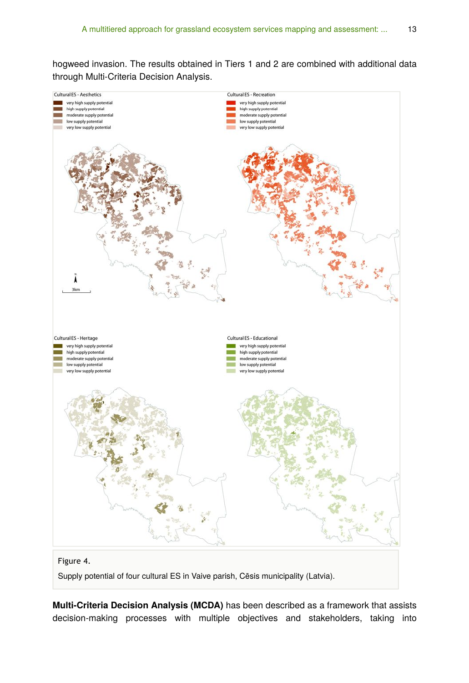hogweed invasion. The results obtained in Tiers 1 and 2 are combined with additional data through Multi-Criteria Decision Analysis.



**Multi-Criteria Decision Analysis (MCDA)** has been described as a framework that assists decision-making processes with multiple objectives and stakeholders, taking into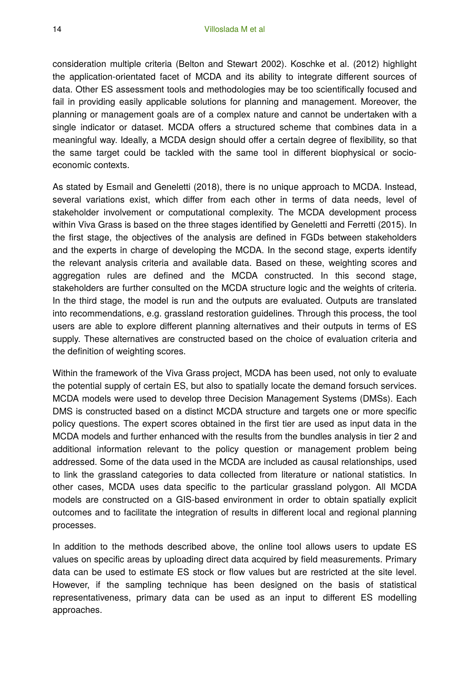consideration multiple criteria (Belton and Stewart 2002). Koschke et al. (2012) highlight the application-orientated facet of MCDA and its ability to integrate different sources of data. Other ES assessment tools and methodologies may be too scientifically focused and fail in providing easily applicable solutions for planning and management. Moreover, the planning or management goals are of a complex nature and cannot be undertaken with a single indicator or dataset. MCDA offers a structured scheme that combines data in a meaningful way. Ideally, a MCDA design should offer a certain degree of flexibility, so that the same target could be tackled with the same tool in different biophysical or socioeconomic contexts.

As stated by Esmail and Geneletti (2018), there is no unique approach to MCDA. Instead, several variations exist, which differ from each other in terms of data needs, level of stakeholder involvement or computational complexity. The MCDA development process within Viva Grass is based on the three stages identified by Geneletti and Ferretti (2015). In the first stage, the objectives of the analysis are defined in FGDs between stakeholders and the experts in charge of developing the MCDA. In the second stage, experts identify the relevant analysis criteria and available data. Based on these, weighting scores and aggregation rules are defined and the MCDA constructed. In this second stage, stakeholders are further consulted on the MCDA structure logic and the weights of criteria. In the third stage, the model is run and the outputs are evaluated. Outputs are translated into recommendations, e.g. grassland restoration guidelines. Through this process, the tool users are able to explore different planning alternatives and their outputs in terms of ES supply. These alternatives are constructed based on the choice of evaluation criteria and the definition of weighting scores.

Within the framework of the Viva Grass project, MCDA has been used, not only to evaluate the potential supply of certain ES, but also to spatially locate the demand forsuch services. MCDA models were used to develop three Decision Management Systems (DMSs). Each DMS is constructed based on a distinct MCDA structure and targets one or more specific policy questions. The expert scores obtained in the first tier are used as input data in the MCDA models and further enhanced with the results from the bundles analysis in tier 2 and additional information relevant to the policy question or management problem being addressed. Some of the data used in the MCDA are included as causal relationships, used to link the grassland categories to data collected from literature or national statistics. In other cases, MCDA uses data specific to the particular grassland polygon. All MCDA models are constructed on a GIS-based environment in order to obtain spatially explicit outcomes and to facilitate the integration of results in different local and regional planning processes.

In addition to the methods described above, the online tool allows users to update ES values on specific areas by uploading direct data acquired by field measurements. Primary data can be used to estimate ES stock or flow values but are restricted at the site level. However, if the sampling technique has been designed on the basis of statistical representativeness, primary data can be used as an input to different ES modelling approaches.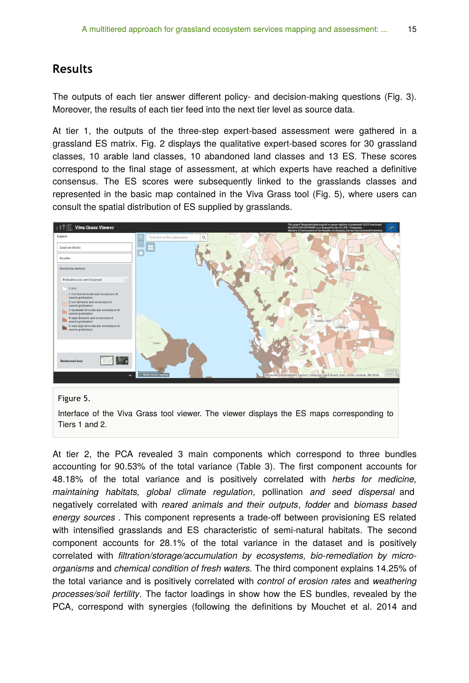## **Results**

The outputs of each tier answer different policy- and decision-making questions (Fig. 3). Moreover, the results of each tier feed into the next tier level as source data.

At tier 1, the outputs of the three-step expert-based assessment were gathered in a grassland ES matrix. Fig. 2 displays the qualitative expert-based scores for 30 grassland classes, 10 arable land classes, 10 abandoned land classes and 13 ES. These scores correspond to the final stage of assessment, at which experts have reached a definitive consensus. The ES scores were subsequently linked to the grasslands classes and represented in the basic map contained in the Viva Grass tool (Fig. 5), where users can consult the spatial distribution of ES supplied by grasslands.





Interface of the Viva Grass tool viewer. The viewer displays the ES maps corresponding to Tiers 1 and 2.

At tier 2, the PCA revealed 3 main components which correspond to three bundles accounting for 90.53% of the total variance (Table 3). The first component accounts for 48.18% of the total variance and is positively correlated with *herbs for medicine, maintaining habitats, global climate regulation*, pollination *and seed dispersal* and negatively correlated with *reared animals and their outputs*, *fodder* and *biomass based energy sources* . This component represents a trade-off between provisioning ES related with intensified grasslands and ES characteristic of semi-natural habitats. The second component accounts for 28.1% of the total variance in the dataset and is positively correlated with *filtration/storage/accumulation by ecosystems, bio-remediation by microorganisms* and *chemical condition of fresh waters.* The third component explains 14.25% of the total variance and is positively correlated with *control of erosion rates* and *weathering processes/soil fertility*. The factor loadings in show how the ES bundles, revealed by the PCA, correspond with synergies (following the definitions by Mouchet et al. 2014 and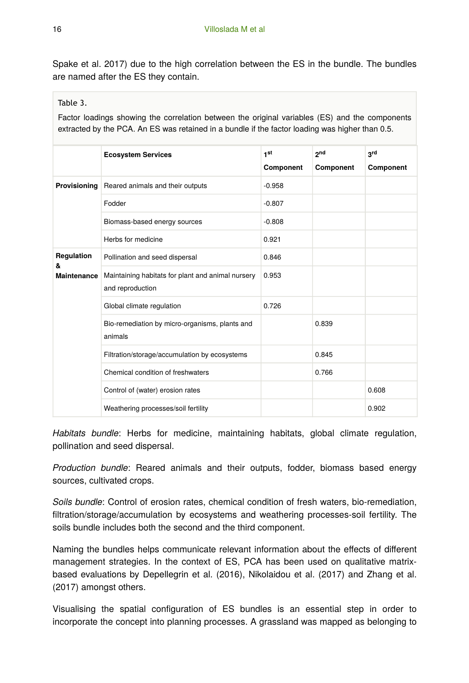Spake et al. 2017) due to the high correlation between the ES in the bundle. The bundles are named after the ES they contain.

#### Table 3.

Factor loadings showing the correlation between the original variables (ES) and the components extracted by the PCA. An ES was retained in a bundle if the factor loading was higher than 0.5.

|                                       | <b>Ecosystem Services</b>                                             | 1 <sup>st</sup> | <sub>2</sub> nd | 3rd              |
|---------------------------------------|-----------------------------------------------------------------------|-----------------|-----------------|------------------|
|                                       |                                                                       | Component       | Component       | <b>Component</b> |
| <b>Provisioning</b>                   | Reared animals and their outputs                                      | $-0.958$        |                 |                  |
|                                       | Fodder                                                                | $-0.807$        |                 |                  |
|                                       | Biomass-based energy sources                                          | $-0.808$        |                 |                  |
|                                       | Herbs for medicine                                                    | 0.921           |                 |                  |
| Regulation<br>&<br><b>Maintenance</b> | Pollination and seed dispersal                                        | 0.846           |                 |                  |
|                                       | Maintaining habitats for plant and animal nursery<br>and reproduction | 0.953           |                 |                  |
|                                       | Global climate regulation                                             | 0.726           |                 |                  |
|                                       | Bio-remediation by micro-organisms, plants and<br>animals             |                 | 0.839           |                  |
|                                       | Filtration/storage/accumulation by ecosystems                         |                 | 0.845           |                  |
|                                       | Chemical condition of freshwaters                                     |                 | 0.766           |                  |
|                                       | Control of (water) erosion rates                                      |                 |                 | 0.608            |
|                                       | Weathering processes/soil fertility                                   |                 |                 | 0.902            |

*Habitats bundle*: Herbs for medicine, maintaining habitats, global climate regulation, pollination and seed dispersal.

*Production bundle*: Reared animals and their outputs, fodder, biomass based energy sources, cultivated crops.

*Soils bundle*: Control of erosion rates, chemical condition of fresh waters, bio-remediation, filtration/storage/accumulation by ecosystems and weathering processes-soil fertility. The soils bundle includes both the second and the third component.

Naming the bundles helps communicate relevant information about the effects of different management strategies. In the context of ES, PCA has been used on qualitative matrixbased evaluations by Depellegrin et al. (2016), Nikolaidou et al. (2017) and Zhang et al. (2017) amongst others.

Visualising the spatial configuration of ES bundles is an essential step in order to incorporate the concept into planning processes. A grassland was mapped as belonging to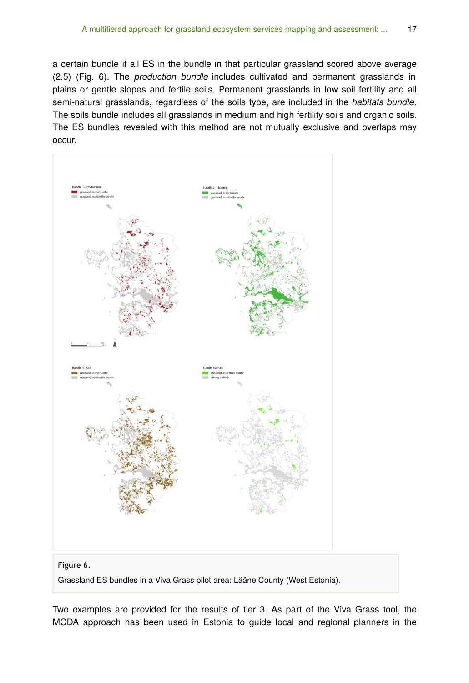a certain bundle if all ES in the bundle in that particular grassland scored above average (2.5) (Fig. 6). The *production bundle* includes cultivated and permanent grasslands in plains or gentle slopes and fertile soils. Permanent grasslands in low soil fertility and all semi-natural grasslands, regardless of the soils type, are included in the *habitats bundle*. The soils bundle includes all grasslands in medium and high fertility soils and organic soils. The ES bundles revealed with this method are not mutually exclusive and overlaps may occur.



Two examples are provided for the results of tier 3. As part of the Viva Grass tool, the MCDA approach has been used in Estonia to guide local and regional planners in the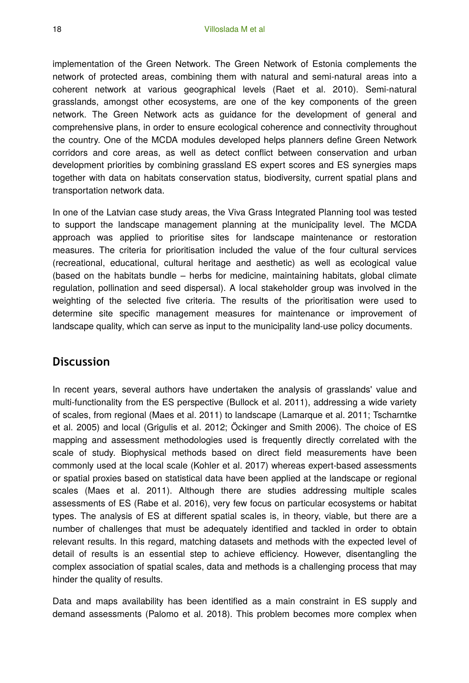implementation of the Green Network. The Green Network of Estonia complements the network of protected areas, combining them with natural and semi-natural areas into a coherent network at various geographical levels (Raet et al. 2010). Semi-natural grasslands, amongst other ecosystems, are one of the key components of the green network. The Green Network acts as guidance for the development of general and comprehensive plans, in order to ensure ecological coherence and connectivity throughout the country. One of the MCDA modules developed helps planners define Green Network corridors and core areas, as well as detect conflict between conservation and urban development priorities by combining grassland ES expert scores and ES synergies maps together with data on habitats conservation status, biodiversity, current spatial plans and transportation network data.

In one of the Latvian case study areas, the Viva Grass Integrated Planning tool was tested to support the landscape management planning at the municipality level. The MCDA approach was applied to prioritise sites for landscape maintenance or restoration measures. The criteria for prioritisation included the value of the four cultural services (recreational, educational, cultural heritage and aesthetic) as well as ecological value (based on the habitats bundle – herbs for medicine, maintaining habitats, global climate regulation, pollination and seed dispersal). A local stakeholder group was involved in the weighting of the selected five criteria. The results of the prioritisation were used to determine site specific management measures for maintenance or improvement of landscape quality, which can serve as input to the municipality land-use policy documents.

## **Discussion**

In recent years, several authors have undertaken the analysis of grasslands' value and multi-functionality from the ES perspective (Bullock et al. 2011), addressing a wide variety of scales, from regional (Maes et al. 2011) to landscape (Lamarque et al. 2011; Tscharntke et al. 2005) and local (Grigulis et al. 2012; Öckinger and Smith 2006). The choice of ES mapping and assessment methodologies used is frequently directly correlated with the scale of study. Biophysical methods based on direct field measurements have been commonly used at the local scale (Kohler et al. 2017) whereas expert-based assessments or spatial proxies based on statistical data have been applied at the landscape or regional scales (Maes et al. 2011). Although there are studies addressing multiple scales assessments of ES (Rabe et al. 2016), very few focus on particular ecosystems or habitat types. The analysis of ES at different spatial scales is, in theory, viable, but there are a number of challenges that must be adequately identified and tackled in order to obtain relevant results. In this regard, matching datasets and methods with the expected level of detail of results is an essential step to achieve efficiency. However, disentangling the complex association of spatial scales, data and methods is a challenging process that may hinder the quality of results.

Data and maps availability has been identified as a main constraint in ES supply and demand assessments (Palomo et al. 2018). This problem becomes more complex when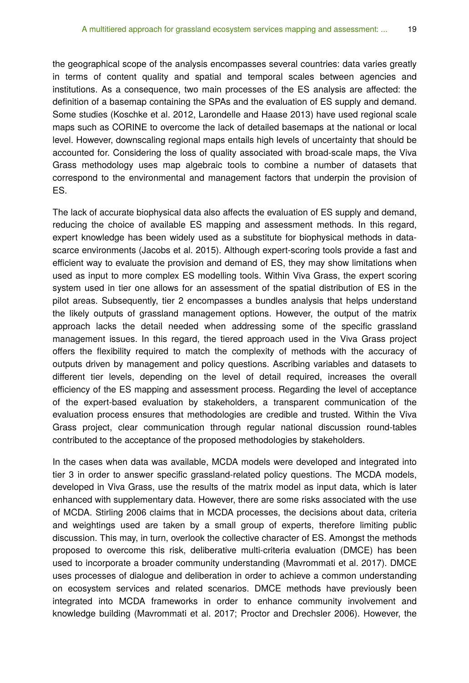the geographical scope of the analysis encompasses several countries: data varies greatly in terms of content quality and spatial and temporal scales between agencies and institutions. As a consequence, two main processes of the ES analysis are affected: the definition of a basemap containing the SPAs and the evaluation of ES supply and demand. Some studies (Koschke et al. 2012, Larondelle and Haase 2013) have used regional scale maps such as CORINE to overcome the lack of detailed basemaps at the national or local level. However, downscaling regional maps entails high levels of uncertainty that should be accounted for. Considering the loss of quality associated with broad-scale maps, the Viva Grass methodology uses map algebraic tools to combine a number of datasets that correspond to the environmental and management factors that underpin the provision of ES.

The lack of accurate biophysical data also affects the evaluation of ES supply and demand, reducing the choice of available ES mapping and assessment methods. In this regard, expert knowledge has been widely used as a substitute for biophysical methods in datascarce environments (Jacobs et al. 2015). Although expert-scoring tools provide a fast and efficient way to evaluate the provision and demand of ES, they may show limitations when used as input to more complex ES modelling tools. Within Viva Grass, the expert scoring system used in tier one allows for an assessment of the spatial distribution of ES in the pilot areas. Subsequently, tier 2 encompasses a bundles analysis that helps understand the likely outputs of grassland management options. However, the output of the matrix approach lacks the detail needed when addressing some of the specific grassland management issues. In this regard, the tiered approach used in the Viva Grass project offers the flexibility required to match the complexity of methods with the accuracy of outputs driven by management and policy questions. Ascribing variables and datasets to different tier levels, depending on the level of detail required, increases the overall efficiency of the ES mapping and assessment process. Regarding the level of acceptance of the expert-based evaluation by stakeholders, a transparent communication of the evaluation process ensures that methodologies are credible and trusted. Within the Viva Grass project, clear communication through regular national discussion round-tables contributed to the acceptance of the proposed methodologies by stakeholders.

In the cases when data was available, MCDA models were developed and integrated into tier 3 in order to answer specific grassland-related policy questions. The MCDA models, developed in Viva Grass, use the results of the matrix model as input data, which is later enhanced with supplementary data. However, there are some risks associated with the use of MCDA. Stirling 2006 claims that in MCDA processes, the decisions about data, criteria and weightings used are taken by a small group of experts, therefore limiting public discussion. This may, in turn, overlook the collective character of ES. Amongst the methods proposed to overcome this risk, deliberative multi-criteria evaluation (DMCE) has been used to incorporate a broader community understanding (Mavrommati et al. 2017). DMCE uses processes of dialogue and deliberation in order to achieve a common understanding on ecosystem services and related scenarios. DMCE methods have previously been integrated into MCDA frameworks in order to enhance community involvement and knowledge building (Mavrommati et al. 2017; Proctor and Drechsler 2006). However, the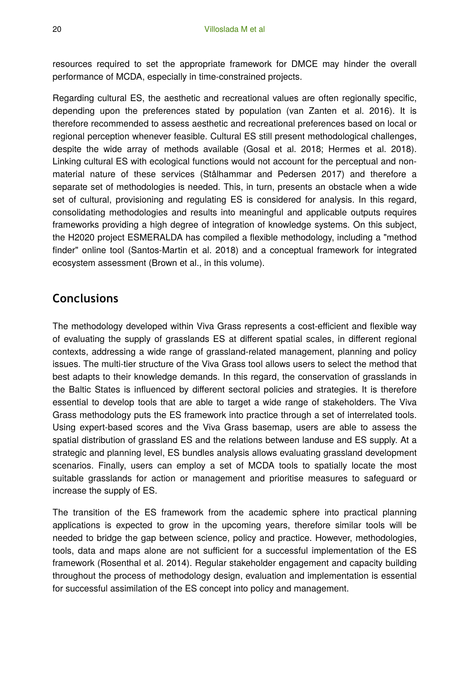resources required to set the appropriate framework for DMCE may hinder the overall performance of MCDA, especially in time-constrained projects.

Regarding cultural ES, the aesthetic and recreational values are often regionally specific, depending upon the preferences stated by population (van Zanten et al. 2016). It is therefore recommended to assess aesthetic and recreational preferences based on local or regional perception whenever feasible. Cultural ES still present methodological challenges, despite the wide array of methods available (Gosal et al. 2018; Hermes et al. 2018). Linking cultural ES with ecological functions would not account for the perceptual and nonmaterial nature of these services (Stålhammar and Pedersen 2017) and therefore a separate set of methodologies is needed. This, in turn, presents an obstacle when a wide set of cultural, provisioning and regulating ES is considered for analysis. In this regard, consolidating methodologies and results into meaningful and applicable outputs requires frameworks providing a high degree of integration of knowledge systems. On this subject, the H2020 project ESMERALDA has compiled a flexible methodology, including a "method finder" online tool (Santos-Martin et al. 2018) and a conceptual framework for integrated ecosystem assessment (Brown et al., in this volume).

## **Conclusions**

The methodology developed within Viva Grass represents a cost-efficient and flexible way of evaluating the supply of grasslands ES at different spatial scales, in different regional contexts, addressing a wide range of grassland-related management, planning and policy issues. The multi-tier structure of the Viva Grass tool allows users to select the method that best adapts to their knowledge demands. In this regard, the conservation of grasslands in the Baltic States is influenced by different sectoral policies and strategies. It is therefore essential to develop tools that are able to target a wide range of stakeholders. The Viva Grass methodology puts the ES framework into practice through a set of interrelated tools. Using expert-based scores and the Viva Grass basemap, users are able to assess the spatial distribution of grassland ES and the relations between landuse and ES supply. At a strategic and planning level, ES bundles analysis allows evaluating grassland development scenarios. Finally, users can employ a set of MCDA tools to spatially locate the most suitable grasslands for action or management and prioritise measures to safeguard or increase the supply of ES.

The transition of the ES framework from the academic sphere into practical planning applications is expected to grow in the upcoming years, therefore similar tools will be needed to bridge the gap between science, policy and practice. However, methodologies, tools, data and maps alone are not sufficient for a successful implementation of the ES framework (Rosenthal et al. 2014). Regular stakeholder engagement and capacity building throughout the process of methodology design, evaluation and implementation is essential for successful assimilation of the ES concept into policy and management.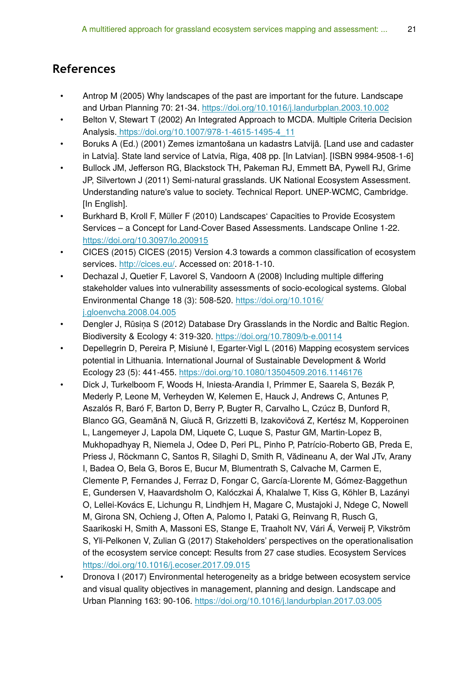## **References**

- Antrop M (2005) Why landscapes of the past are important for the future. Landscape and Urban Planning 70: 21‑34.<https://doi.org/10.1016/j.landurbplan.2003.10.002>
- Belton V, Stewart T (2002) An Integrated Approach to MCDA. Multiple Criteria Decision Analysis. [https://doi.org/10.1007/978-1-4615-1495-4\\_11](https://doi.org/10.1007/978-1-4615-1495-4_11)
- Boruks A (Ed.) (2001) Zemes izmantošana un kadastrs Latvijā. [Land use and cadaster in Latvia]. State land service of Latvia, Riga, 408 pp. [In Latvian]. [ISBN 9984-9508-1-6]
- Bullock JM, Jefferson RG, Blackstock TH, Pakeman RJ, Emmett BA, Pywell RJ, Grime JP, Silvertown J (2011) Semi-natural grasslands. UK National Ecosystem Assessment. Understanding nature's value to society. Technical Report. UNEP-WCMC, Cambridge. [In English].
- Burkhard B, Kroll F, Müller F (2010) Landscapes' Capacities to Provide Ecosystem Services – a Concept for Land-Cover Based Assessments. Landscape Online 1‑22. <https://doi.org/10.3097/lo.200915>
- CICES (2015) CICES (2015) Version 4.3 towards a common classification of ecosystem services. [http://cices.eu/.](http://cices.eu/) Accessed on: 2018-1-10.
- Dechazal J, Quetier F, Lavorel S, Vandoorn A (2008) Including multiple differing stakeholder values into vulnerability assessments of socio-ecological systems. Global Environmental Change 18 (3): 508‑520. [https://doi.org/10.1016/](https://doi.org/10.1016/j.gloenvcha.2008.04.005) [j.gloenvcha.2008.04.005](https://doi.org/10.1016/j.gloenvcha.2008.04.005)
- Dengler J, Rūsiņa S (2012) Database Dry Grasslands in the Nordic and Baltic Region. Biodiversity & Ecology 4: 319‑320. <https://doi.org/10.7809/b-e.00114>
- Depellegrin D, Pereira P, Misiunė I, Egarter-Vigl L (2016) Mapping ecosystem services potential in Lithuania. International Journal of Sustainable Development & World Ecology 23 (5): 441‑455.<https://doi.org/10.1080/13504509.2016.1146176>
- Dick J, Turkelboom F, Woods H, Iniesta-Arandia I, Primmer E, Saarela S, Bezák P, Mederly P, Leone M, Verheyden W, Kelemen E, Hauck J, Andrews C, Antunes P, Aszalós R, Baró F, Barton D, Berry P, Bugter R, Carvalho L, Czúcz B, Dunford R, Blanco GG, Geamănă N, Giucă R, Grizzetti B, Izakovičová Z, Kertész M, Kopperoinen L, Langemeyer J, Lapola DM, Liquete C, Luque S, Pastur GM, Martin-Lopez B, Mukhopadhyay R, Niemela J, Odee D, Peri PL, Pinho P, Patrício-Roberto GB, Preda E, Priess J, Röckmann C, Santos R, Silaghi D, Smith R, Vădineanu A, der Wal JTv, Arany I, Badea O, Bela G, Boros E, Bucur M, Blumentrath S, Calvache M, Carmen E, Clemente P, Fernandes J, Ferraz D, Fongar C, García-Llorente M, Gómez-Baggethun E, Gundersen V, Haavardsholm O, Kalóczkai Á, Khalalwe T, Kiss G, Köhler B, Lazányi O, Lellei-Kovács E, Lichungu R, Lindhjem H, Magare C, Mustajoki J, Ndege C, Nowell M, Girona SN, Ochieng J, Often A, Palomo I, Pataki G, Reinvang R, Rusch G, Saarikoski H, Smith A, Massoni ES, Stange E, Traaholt NV, Vári Á, Verweij P, Vikström S, Yli-Pelkonen V, Zulian G (2017) Stakeholders' perspectives on the operationalisation of the ecosystem service concept: Results from 27 case studies. Ecosystem Services <https://doi.org/10.1016/j.ecoser.2017.09.015>
- Dronova I (2017) Environmental heterogeneity as a bridge between ecosystem service and visual quality objectives in management, planning and design. Landscape and Urban Planning 163: 90‑106.<https://doi.org/10.1016/j.landurbplan.2017.03.005>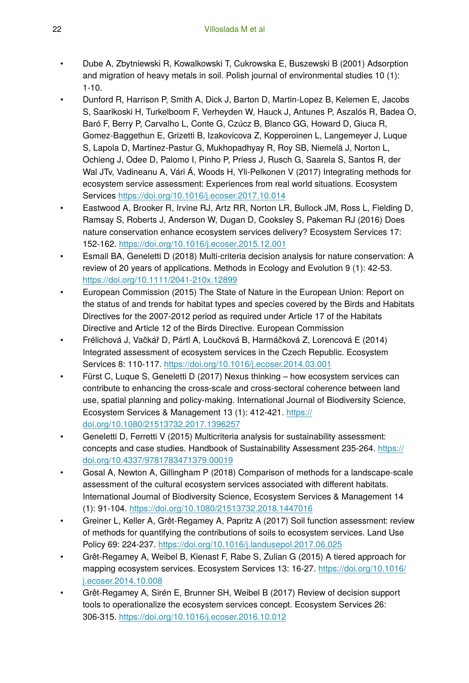- Dube A, Zbytniewski R, Kowalkowski T, Cukrowska E, Buszewski B (2001) Adsorption and migration of heavy metals in soil. Polish journal of environmental studies 10 (1):  $1 - 10.$
- Dunford R, Harrison P, Smith A, Dick J, Barton D, Martin-Lopez B, Kelemen E, Jacobs S, Saarikoski H, Turkelboom F, Verheyden W, Hauck J, Antunes P, Aszalós R, Badea O, Baró F, Berry P, Carvalho L, Conte G, Czúcz B, Blanco GG, Howard D, Giuca R, Gomez-Baggethun E, Grizetti B, Izakovicova Z, Kopperoinen L, Langemeyer J, Luque S, Lapola D, Martinez-Pastur G, Mukhopadhyay R, Roy SB, Niemelä J, Norton L, Ochieng J, Odee D, Palomo I, Pinho P, Priess J, Rusch G, Saarela S, Santos R, der Wal JTv, Vadineanu A, Vári Á, Woods H, Yli-Pelkonen V (2017) Integrating methods for ecosystem service assessment: Experiences from real world situations. Ecosystem Services <https://doi.org/10.1016/j.ecoser.2017.10.014>
- Eastwood A, Brooker R, Irvine RJ, Artz RR, Norton LR, Bullock JM, Ross L, Fielding D, Ramsay S, Roberts J, Anderson W, Dugan D, Cooksley S, Pakeman RJ (2016) Does nature conservation enhance ecosystem services delivery? Ecosystem Services 17: 152‑162. <https://doi.org/10.1016/j.ecoser.2015.12.001>
- Esmail BA, Geneletti D (2018) Multi-criteria decision analysis for nature conservation: A review of 20 years of applications. Methods in Ecology and Evolution 9 (1): 42‑53. <https://doi.org/10.1111/2041-210x.12899>
- European Commission (2015) The State of Nature in the European Union: Report on the status of and trends for habitat types and species covered by the Birds and Habitats Directives for the 2007-2012 period as required under Article 17 of the Habitats Directive and Article 12 of the Birds Directive. European Commission
- Frélichová J, Vačkář D, Pártl A, Loučková B, Harmáčková Z, Lorencová E (2014) Integrated assessment of ecosystem services in the Czech Republic. Ecosystem Services 8: 110‑117. <https://doi.org/10.1016/j.ecoser.2014.03.001>
- Fürst C, Luque S, Geneletti D (2017) Nexus thinking how ecosystem services can contribute to enhancing the cross-scale and cross-sectoral coherence between land use, spatial planning and policy-making. International Journal of Biodiversity Science, Ecosystem Services & Management 13 (1): 412-421. [https://](https://doi.org/10.1080/21513732.2017.1396257) [doi.org/10.1080/21513732.2017.1396257](https://doi.org/10.1080/21513732.2017.1396257)
- Geneletti D, Ferretti V (2015) Multicriteria analysis for sustainability assessment: concepts and case studies. Handbook of Sustainability Assessment 235-264. [https://](https://doi.org/10.4337/9781783471379.00019) [doi.org/10.4337/9781783471379.00019](https://doi.org/10.4337/9781783471379.00019)
- Gosal A, Newton A, Gillingham P (2018) Comparison of methods for a landscape-scale assessment of the cultural ecosystem services associated with different habitats. International Journal of Biodiversity Science, Ecosystem Services & Management 14 (1): 91‑104.<https://doi.org/10.1080/21513732.2018.1447016>
- Greiner L, Keller A, Grêt-Regamey A, Papritz A (2017) Soil function assessment: review of methods for quantifying the contributions of soils to ecosystem services. Land Use Policy 69: 224‑237. <https://doi.org/10.1016/j.landusepol.2017.06.025>
- Grêt-Regamey A, Weibel B, Kienast F, Rabe S, Zulian G (2015) A tiered approach for mapping ecosystem services. Ecosystem Services 13: 16-27. [https://doi.org/10.1016/](https://doi.org/10.1016/j.ecoser.2014.10.008) [j.ecoser.2014.10.008](https://doi.org/10.1016/j.ecoser.2014.10.008)
- Grêt-Regamey A, Sirén E, Brunner SH, Weibel B (2017) Review of decision support tools to operationalize the ecosystem services concept. Ecosystem Services 26: 306‑315. <https://doi.org/10.1016/j.ecoser.2016.10.012>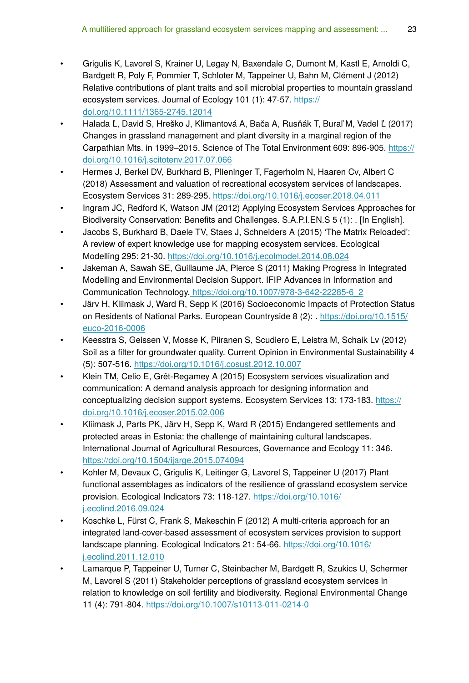- Grigulis K, Lavorel S, Krainer U, Legay N, Baxendale C, Dumont M, Kastl E, Arnoldi C, Bardgett R, Poly F, Pommier T, Schloter M, Tappeiner U, Bahn M, Clément J (2012) Relative contributions of plant traits and soil microbial properties to mountain grassland ecosystem services. Journal of Ecology 101 (1): 47-57. [https://](https://doi.org/10.1111/1365-2745.12014) [doi.org/10.1111/1365-2745.12014](https://doi.org/10.1111/1365-2745.12014)
- Halada Ľ, David S, Hreško J, Klimantová A, Bača A, Rusňák T, Buraľ M, Vadel Ľ (2017) Changes in grassland management and plant diversity in a marginal region of the Carpathian Mts. in 1999–2015. Science of The Total Environment 609: 896‑905. [https://](https://doi.org/10.1016/j.scitotenv.2017.07.066) [doi.org/10.1016/j.scitotenv.2017.07.066](https://doi.org/10.1016/j.scitotenv.2017.07.066)
- Hermes J, Berkel DV, Burkhard B, Plieninger T, Fagerholm N, Haaren Cv, Albert C (2018) Assessment and valuation of recreational ecosystem services of landscapes. Ecosystem Services 31: 289‑295.<https://doi.org/10.1016/j.ecoser.2018.04.011>
- Ingram JC, Redford K, Watson JM (2012) Applying Ecosystem Services Approaches for Biodiversity Conservation: Benefits and Challenges. S.A.P.I.EN.S 5 (1): . [In English].
- Jacobs S, Burkhard B, Daele TV, Staes J, Schneiders A (2015) 'The Matrix Reloaded': A review of expert knowledge use for mapping ecosystem services. Ecological Modelling 295: 21‑30.<https://doi.org/10.1016/j.ecolmodel.2014.08.024>
- Jakeman A, Sawah SE, Guillaume JA, Pierce S (2011) Making Progress in Integrated Modelling and Environmental Decision Support. IFIP Advances in Information and Communication Technology[. https://doi.org/10.1007/978-3-642-22285-6\\_2](https://doi.org/10.1007/978-3-642-22285-6_2)
- Järv H, Kliimask J, Ward R, Sepp K (2016) Socioeconomic Impacts of Protection Status on Residents of National Parks. European Countryside 8 (2): . [https://doi.org/10.1515/](https://doi.org/10.1515/euco-2016-0006) [euco-2016-0006](https://doi.org/10.1515/euco-2016-0006)
- Keesstra S, Geissen V, Mosse K, Piiranen S, Scudiero E, Leistra M, Schaik Lv (2012) Soil as a filter for groundwater quality. Current Opinion in Environmental Sustainability 4 (5): 507‑516. <https://doi.org/10.1016/j.cosust.2012.10.007>
- Klein TM, Celio E, Grêt-Regamey A (2015) Ecosystem services visualization and communication: A demand analysis approach for designing information and conceptualizing decision support systems. Ecosystem Services 13: 173-183. [https://](https://doi.org/10.1016/j.ecoser.2015.02.006) [doi.org/10.1016/j.ecoser.2015.02.006](https://doi.org/10.1016/j.ecoser.2015.02.006)
- Kliimask J, Parts PK, Järv H, Sepp K, Ward R (2015) Endangered settlements and protected areas in Estonia: the challenge of maintaining cultural landscapes. International Journal of Agricultural Resources, Governance and Ecology 11: 346. <https://doi.org/10.1504/ijarge.2015.074094>
- Kohler M, Devaux C, Grigulis K, Leitinger G, Lavorel S, Tappeiner U (2017) Plant functional assemblages as indicators of the resilience of grassland ecosystem service provision. Ecological Indicators 73: 118-127. [https://doi.org/10.1016/](https://doi.org/10.1016/j.ecolind.2016.09.024) [j.ecolind.2016.09.024](https://doi.org/10.1016/j.ecolind.2016.09.024)
- Koschke L, Fürst C, Frank S, Makeschin F (2012) A multi-criteria approach for an integrated land-cover-based assessment of ecosystem services provision to support landscape planning. Ecological Indicators 21: 54‑66. [https://doi.org/10.1016/](https://doi.org/10.1016/j.ecolind.2011.12.010) [j.ecolind.2011.12.010](https://doi.org/10.1016/j.ecolind.2011.12.010)
- Lamarque P, Tappeiner U, Turner C, Steinbacher M, Bardgett R, Szukics U, Schermer M, Lavorel S (2011) Stakeholder perceptions of grassland ecosystem services in relation to knowledge on soil fertility and biodiversity. Regional Environmental Change 11 (4): 791‑804. <https://doi.org/10.1007/s10113-011-0214-0>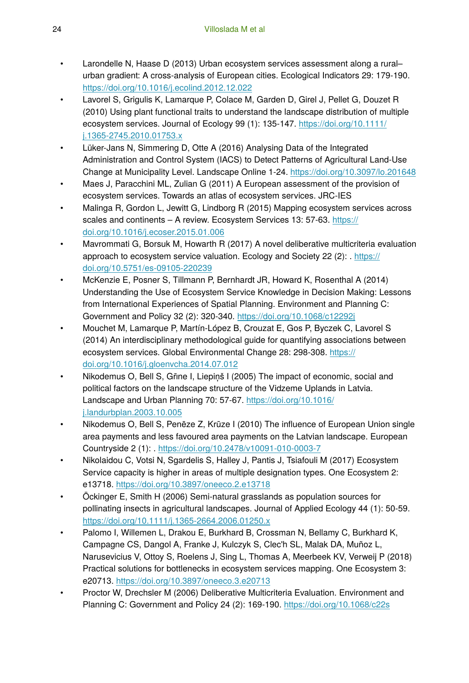- Larondelle N, Haase D (2013) Urban ecosystem services assessment along a rural– urban gradient: A cross-analysis of European cities. Ecological Indicators 29: 179‑190. <https://doi.org/10.1016/j.ecolind.2012.12.022>
- Lavorel S, Grigulis K, Lamarque P, Colace M, Garden D, Girel J, Pellet G, Douzet R (2010) Using plant functional traits to understand the landscape distribution of multiple ecosystem services. Journal of Ecology 99 (1): 135-147. [https://doi.org/10.1111/](https://doi.org/10.1111/j.1365-2745.2010.01753.x) [j.1365-2745.2010.01753.x](https://doi.org/10.1111/j.1365-2745.2010.01753.x)
- Lüker-Jans N, Simmering D, Otte A (2016) Analysing Data of the Integrated Administration and Control System (IACS) to Detect Patterns of Agricultural Land-Use Change at Municipality Level. Landscape Online 1‑24.<https://doi.org/10.3097/lo.201648>
- Maes J, Paracchini ML, Zulian G (2011) A European assessment of the provision of ecosystem services. Towards an atlas of ecosystem services. JRC-IES
- Malinga R, Gordon L, Jewitt G, Lindborg R (2015) Mapping ecosystem services across scales and continents – A review. Ecosystem Services 13: 57-63. [https://](https://doi.org/10.1016/j.ecoser.2015.01.006) [doi.org/10.1016/j.ecoser.2015.01.006](https://doi.org/10.1016/j.ecoser.2015.01.006)
- Mavrommati G, Borsuk M, Howarth R (2017) A novel deliberative multicriteria evaluation approach to ecosystem service valuation. Ecology and Society 22 (2): . [https://](https://doi.org/10.5751/es-09105-220239) [doi.org/10.5751/es-09105-220239](https://doi.org/10.5751/es-09105-220239)
- McKenzie E, Posner S, Tillmann P, Bernhardt JR, Howard K, Rosenthal A (2014) Understanding the Use of Ecosystem Service Knowledge in Decision Making: Lessons from International Experiences of Spatial Planning. Environment and Planning C: Government and Policy 32 (2): 320‑340.<https://doi.org/10.1068/c12292j>
- Mouchet M, Lamarque P, Martín-López B, Crouzat E, Gos P, Byczek C, Lavorel S (2014) An interdisciplinary methodological guide for quantifying associations between ecosystem services. Global Environmental Change 28: 298-308. [https://](https://doi.org/10.1016/j.gloenvcha.2014.07.012) [doi.org/10.1016/j.gloenvcha.2014.07.012](https://doi.org/10.1016/j.gloenvcha.2014.07.012)
- Nikodemus O, Bell S, Grine I, Liepiņš I (2005) The impact of economic, social and political factors on the landscape structure of the Vidzeme Uplands in Latvia. Landscape and Urban Planning 70: 57‑67. [https://doi.org/10.1016/](https://doi.org/10.1016/j.landurbplan.2003.10.005) [j.landurbplan.2003.10.005](https://doi.org/10.1016/j.landurbplan.2003.10.005)
- Nikodemus O, Bell S, Penēze Z, Krūze I (2010) The influence of European Union single area payments and less favoured area payments on the Latvian landscape. European Countryside 2 (1): . <https://doi.org/10.2478/v10091-010-0003-7>
- Nikolaidou C, Votsi N, Sgardelis S, Halley J, Pantis J, Tsiafouli M (2017) Ecosystem Service capacity is higher in areas of multiple designation types. One Ecosystem 2: e13718. <https://doi.org/10.3897/oneeco.2.e13718>
- Öckinger E, Smith H (2006) Semi-natural grasslands as population sources for pollinating insects in agricultural landscapes. Journal of Applied Ecology 44 (1): 50‑59. <https://doi.org/10.1111/j.1365-2664.2006.01250.x>
- Palomo I, Willemen L, Drakou E, Burkhard B, Crossman N, Bellamy C, Burkhard K, Campagne CS, Dangol A, Franke J, Kulczyk S, Clec'h SL, Malak DA, Muñoz L, Narusevicius V, Ottoy S, Roelens J, Sing L, Thomas A, Meerbeek KV, Verweij P (2018) Practical solutions for bottlenecks in ecosystem services mapping. One Ecosystem 3: e20713. <https://doi.org/10.3897/oneeco.3.e20713>
- Proctor W, Drechsler M (2006) Deliberative Multicriteria Evaluation. Environment and Planning C: Government and Policy 24 (2): 169‑190.<https://doi.org/10.1068/c22s>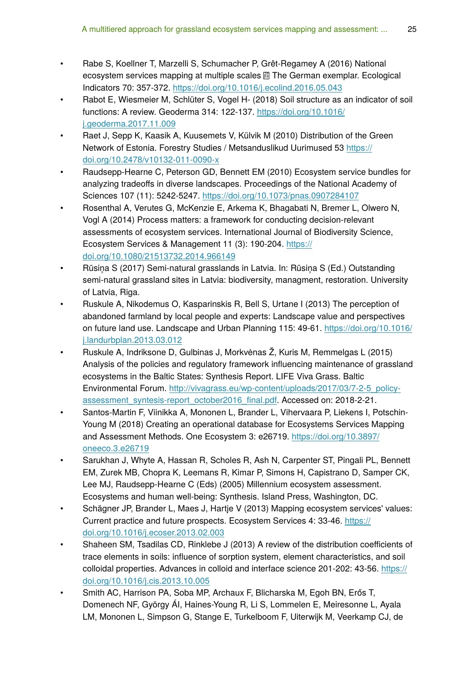- Rabe S, Koellner T, Marzelli S, Schumacher P, Grêt-Regamey A (2016) National 2F ecosystem services mapping at multiple scales The German exemplar. Ecological FF Indicators 70: 357‑372.<https://doi.org/10.1016/j.ecolind.2016.05.043>
- Rabot E, Wiesmeier M, Schlüter S, Vogel H- (2018) Soil structure as an indicator of soil functions: A review. Geoderma 314: 122‑137. [https://doi.org/10.1016/](https://doi.org/10.1016/j.geoderma.2017.11.009) [j.geoderma.2017.11.009](https://doi.org/10.1016/j.geoderma.2017.11.009)
- Raet J, Sepp K, Kaasik A, Kuusemets V, Külvik M (2010) Distribution of the Green Network of Estonia. Forestry Studies / Metsanduslikud Uurimused 53 [https://](https://doi.org/10.2478/v10132-011-0090-x) [doi.org/10.2478/v10132-011-0090-x](https://doi.org/10.2478/v10132-011-0090-x)
- Raudsepp-Hearne C, Peterson GD, Bennett EM (2010) Ecosystem service bundles for analyzing tradeoffs in diverse landscapes. Proceedings of the National Academy of Sciences 107 (11): 5242‑5247. <https://doi.org/10.1073/pnas.0907284107>
- Rosenthal A, Verutes G, McKenzie E, Arkema K, Bhagabati N, Bremer L, Olwero N, Vogl A (2014) Process matters: a framework for conducting decision-relevant assessments of ecosystem services. International Journal of Biodiversity Science, Ecosystem Services & Management 11 (3): 190-204. [https://](https://doi.org/10.1080/21513732.2014.966149) [doi.org/10.1080/21513732.2014.966149](https://doi.org/10.1080/21513732.2014.966149)
- Rūsiņa S (2017) Semi-natural grasslands in Latvia. In: Rūsiņa S (Ed.) Outstanding semi-natural grassland sites in Latvia: biodiversity, managment, restoration. University of Latvia, Riga.
- Ruskule A, Nikodemus O, Kasparinskis R, Bell S, Urtane I (2013) The perception of abandoned farmland by local people and experts: Landscape value and perspectives on future land use. Landscape and Urban Planning 115: 49-61. [https://doi.org/10.1016/](https://doi.org/10.1016/j.landurbplan.2013.03.012) [j.landurbplan.2013.03.012](https://doi.org/10.1016/j.landurbplan.2013.03.012)
- Ruskule A, Indriksone D, Gulbinas J, Morkvėnas Ž, Kuris M, Remmelgas L (2015) Analysis of the policies and regulatory framework influencing maintenance of grassland ecosystems in the Baltic States: Synthesis Report. LIFE Viva Grass. Baltic Environmental Forum. [http://vivagrass.eu/wp-content/uploads/2017/03/7-2-5\\_policy](http://vivagrass.eu/wp-content/uploads/2017/03/7-2-5_policy-assessment_syntesis-report_october2016_final.pdf)[assessment\\_syntesis-report\\_october2016\\_](http://vivagrass.eu/wp-content/uploads/2017/03/7-2-5_policy-assessment_syntesis-report_october2016_final.pdf)final.pdf. Accessed on: 2018-2-21.
- Santos-Martin F, Viinikka A, Mononen L, Brander L, Vihervaara P, Liekens I, Potschin-Young M (2018) Creating an operational database for Ecosystems Services Mapping and Assessment Methods. One Ecosystem 3: e26719. [https://doi.org/10.3897/](https://doi.org/10.3897/oneeco.3.e26719) [oneeco.3.e26719](https://doi.org/10.3897/oneeco.3.e26719)
- Sarukhan J, Whyte A, Hassan R, Scholes R, Ash N, Carpenter ST, Pingali PL, Bennett EM, Zurek MB, Chopra K, Leemans R, Kimar P, Simons H, Capistrano D, Samper CK, Lee MJ, Raudsepp-Hearne C (Eds) (2005) Millennium ecosystem assessment. Ecosystems and human well-being: Synthesis. Island Press, Washington, DC.
- Schägner JP, Brander L, Maes J, Hartje V (2013) Mapping ecosystem services' values: Current practice and future prospects. Ecosystem Services 4: 33‑46. [https://](https://doi.org/10.1016/j.ecoser.2013.02.003) [doi.org/10.1016/j.ecoser.2013.02.003](https://doi.org/10.1016/j.ecoser.2013.02.003)
- Shaheen SM, Tsadilas CD, Rinklebe J (2013) A review of the distribution coefficients of trace elements in soils: influence of sorption system, element characteristics, and soil colloidal properties. Advances in colloid and interface science 201-202: 43‑56. [https://](https://doi.org/10.1016/j.cis.2013.10.005) [doi.org/10.1016/j.cis.2013.10.005](https://doi.org/10.1016/j.cis.2013.10.005)
- Smith AC, Harrison PA, Soba MP, Archaux F, Blicharska M, Egoh BN, Erős T, Domenech NF, György ÁI, Haines-Young R, Li S, Lommelen E, Meiresonne L, Ayala LM, Mononen L, Simpson G, Stange E, Turkelboom F, Uiterwijk M, Veerkamp CJ, de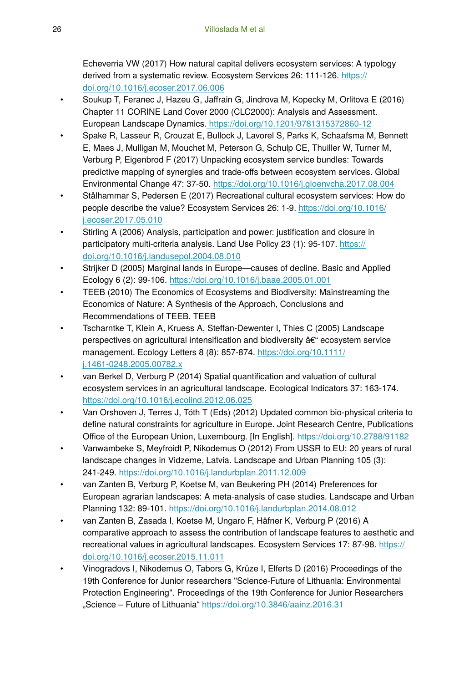Echeverria VW (2017) How natural capital delivers ecosystem services: A typology derived from a systematic review. Ecosystem Services 26: 111-126. [https://](https://doi.org/10.1016/j.ecoser.2017.06.006) [doi.org/10.1016/j.ecoser.2017.06.006](https://doi.org/10.1016/j.ecoser.2017.06.006)

- Soukup T, Feranec J, Hazeu G, Jaffrain G, Jindrova M, Kopecky M, Orlitova E (2016) Chapter 11 CORINE Land Cover 2000 (CLC2000): Analysis and Assessment. European Landscape Dynamics[. https://doi.org/10.1201/9781315372860-12](https://doi.org/10.1201/9781315372860-12)
- Spake R, Lasseur R, Crouzat E, Bullock J, Lavorel S, Parks K, Schaafsma M, Bennett E, Maes J, Mulligan M, Mouchet M, Peterson G, Schulp CE, Thuiller W, Turner M, Verburg P, Eigenbrod F (2017) Unpacking ecosystem service bundles: Towards predictive mapping of synergies and trade-offs between ecosystem services. Global Environmental Change 47: 37‑50. <https://doi.org/10.1016/j.gloenvcha.2017.08.004>
- Stålhammar S, Pedersen E (2017) Recreational cultural ecosystem services: How do people describe the value? Ecosystem Services 26: 1‑9. [https://doi.org/10.1016/](https://doi.org/10.1016/j.ecoser.2017.05.010) [j.ecoser.2017.05.010](https://doi.org/10.1016/j.ecoser.2017.05.010)
- Stirling A (2006) Analysis, participation and power: justification and closure in participatory multi-criteria analysis. Land Use Policy 23 (1): 95-107. [https://](https://doi.org/10.1016/j.landusepol.2004.08.010) [doi.org/10.1016/j.landusepol.2004.08.010](https://doi.org/10.1016/j.landusepol.2004.08.010)
- Strijker D (2005) Marginal lands in Europe—causes of decline. Basic and Applied Ecology 6 (2): 99‑106. <https://doi.org/10.1016/j.baae.2005.01.001>
- TEEB (2010) The Economics of Ecosystems and Biodiversity: Mainstreaming the Economics of Nature: A Synthesis of the Approach, Conclusions and Recommendations of TEEB. TEEB
- Tscharntke T, Klein A, Kruess A, Steffan-Dewenter I, Thies C (2005) Landscape perspectives on agricultural intensification and biodiversity – ecosystem service management. Ecology Letters 8 (8): 857‑874. [https://doi.org/10.1111/](https://doi.org/10.1111/j.1461-0248.2005.00782.x) [j.1461-0248.2005.00782.x](https://doi.org/10.1111/j.1461-0248.2005.00782.x)
- van Berkel D, Verburg P (2014) Spatial quantification and valuation of cultural ecosystem services in an agricultural landscape. Ecological Indicators 37: 163-174. <https://doi.org/10.1016/j.ecolind.2012.06.025>
- Van Orshoven J, Terres J, Tóth T (Eds) (2012) Updated common bio-physical criteria to define natural constraints for agriculture in Europe. Joint Research Centre, Publications Office of the European Union, Luxembourg. [In English].<https://doi.org/10.2788/91182>
- Vanwambeke S, Meyfroidt P, Nikodemus O (2012) From USSR to EU: 20 years of rural landscape changes in Vidzeme, Latvia. Landscape and Urban Planning 105 (3): 241‑249. <https://doi.org/10.1016/j.landurbplan.2011.12.009>
- van Zanten B, Verburg P, Koetse M, van Beukering PH (2014) Preferences for European agrarian landscapes: A meta-analysis of case studies. Landscape and Urban Planning 132: 89‑101. <https://doi.org/10.1016/j.landurbplan.2014.08.012>
- van Zanten B, Zasada I, Koetse M, Ungaro F, Häfner K, Verburg P (2016) A comparative approach to assess the contribution of landscape features to aesthetic and recreational values in agricultural landscapes. Ecosystem Services 17: 87-98. [https://](https://doi.org/10.1016/j.ecoser.2015.11.011) [doi.org/10.1016/j.ecoser.2015.11.011](https://doi.org/10.1016/j.ecoser.2015.11.011)
- Vinogradovs I, Nikodemus O, Tabors G, Krūze I, Elferts D (2016) Proceedings of the 19th Conference for Junior researchers "Science-Future of Lithuania: Environmental Protection Engineering". Proceedings of the 19th Conference for Junior Researchers "Science – Future of Lithuania"<https://doi.org/10.3846/aainz.2016.31>